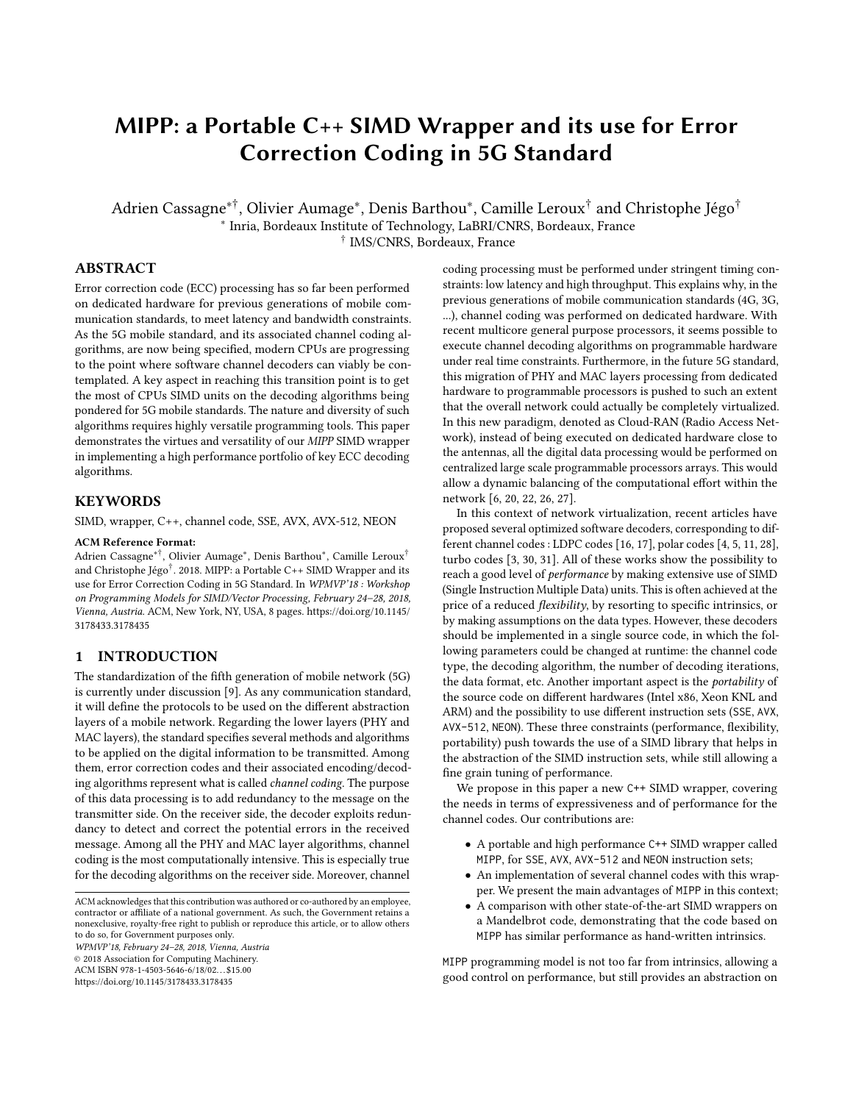# MIPP: a Portable C++ SIMD Wrapper and its use for Error Correction Coding in 5G Standard

Adrien Cassagne\*†, Olivier Aumage\*, Denis Barthou\*, Camille Leroux† and Christophe Jégo† ∗ Inria, Bordeaux Institute of Technology, LaBRI/CNRS, Bordeaux, France

† IMS/CNRS, Bordeaux, France

## ABSTRACT

Error correction code (ECC) processing has so far been performed on dedicated hardware for previous generations of mobile communication standards, to meet latency and bandwidth constraints. As the 5G mobile standard, and its associated channel coding algorithms, are now being specified, modern CPUs are progressing to the point where software channel decoders can viably be contemplated. A key aspect in reaching this transition point is to get the most of CPUs SIMD units on the decoding algorithms being pondered for 5G mobile standards. The nature and diversity of such algorithms requires highly versatile programming tools. This paper demonstrates the virtues and versatility of our MIPP SIMD wrapper in implementing a high performance portfolio of key ECC decoding algorithms.

# **KEYWORDS**

SIMD, wrapper, C++, channel code, SSE, AVX, AVX-512, NEON

#### ACM Reference Format:

Adrien Cassagne∗†, Olivier Aumage<sup>∗</sup> , Denis Barthou<sup>∗</sup> , Camille Leroux† and Christophe Jégo† . 2018. MIPP: a Portable C++ SIMD Wrapper and its use for Error Correction Coding in 5G Standard. In WPMVP'18 : Workshop on Programming Models for SIMD/Vector Processing, February 24–28, 2018, Vienna, Austria. ACM, New York, NY, USA, [8](#page-7-0) pages. [https://doi.org/10.1145/](https://doi.org/10.1145/3178433.3178435) [3178433.3178435](https://doi.org/10.1145/3178433.3178435)

## 1 INTRODUCTION

The standardization of the fifth generation of mobile network (5G) is currently under discussion [\[9\]](#page-7-1). As any communication standard, it will define the protocols to be used on the different abstraction layers of a mobile network. Regarding the lower layers (PHY and MAC layers), the standard specifies several methods and algorithms to be applied on the digital information to be transmitted. Among them, error correction codes and their associated encoding/decoding algorithms represent what is called channel coding. The purpose of this data processing is to add redundancy to the message on the transmitter side. On the receiver side, the decoder exploits redundancy to detect and correct the potential errors in the received message. Among all the PHY and MAC layer algorithms, channel coding is the most computationally intensive. This is especially true for the decoding algorithms on the receiver side. Moreover, channel

WPMVP'18, February 24–28, 2018, Vienna, Austria

© 2018 Association for Computing Machinery.

ACM ISBN 978-1-4503-5646-6/18/02...\$15.00

<https://doi.org/10.1145/3178433.3178435>

coding processing must be performed under stringent timing constraints: low latency and high throughput. This explains why, in the previous generations of mobile communication standards (4G, 3G, ...), channel coding was performed on dedicated hardware. With recent multicore general purpose processors, it seems possible to execute channel decoding algorithms on programmable hardware under real time constraints. Furthermore, in the future 5G standard, this migration of PHY and MAC layers processing from dedicated hardware to programmable processors is pushed to such an extent that the overall network could actually be completely virtualized. In this new paradigm, denoted as Cloud-RAN (Radio Access Network), instead of being executed on dedicated hardware close to the antennas, all the digital data processing would be performed on centralized large scale programmable processors arrays. This would allow a dynamic balancing of the computational effort within the network [\[6,](#page-7-2) [20,](#page-7-3) [22,](#page-7-4) [26,](#page-7-5) [27\]](#page-7-6).

In this context of network virtualization, recent articles have proposed several optimized software decoders, corresponding to different channel codes : LDPC codes [\[16,](#page-7-7) [17\]](#page-7-8), polar codes [\[4,](#page-7-9) [5,](#page-7-10) [11,](#page-7-11) [28\]](#page-7-12), turbo codes [\[3,](#page-7-13) [30,](#page-7-14) [31\]](#page-7-15). All of these works show the possibility to reach a good level of performance by making extensive use of SIMD (Single Instruction Multiple Data) units. This is often achieved at the price of a reduced flexibility, by resorting to specific intrinsics, or by making assumptions on the data types. However, these decoders should be implemented in a single source code, in which the following parameters could be changed at runtime: the channel code type, the decoding algorithm, the number of decoding iterations, the data format, etc. Another important aspect is the portability of the source code on different hardwares (Intel x86, Xeon KNL and ARM) and the possibility to use different instruction sets (SSE, AVX, AVX-512, NEON). These three constraints (performance, flexibility, portability) push towards the use of a SIMD library that helps in the abstraction of the SIMD instruction sets, while still allowing a fine grain tuning of performance.

We propose in this paper a new C++ SIMD wrapper, covering the needs in terms of expressiveness and of performance for the channel codes. Our contributions are:

- A portable and high performance C++ SIMD wrapper called MIPP, for SSE, AVX, AVX-512 and NEON instruction sets;
- An implementation of several channel codes with this wrapper. We present the main advantages of MIPP in this context;
- A comparison with other state-of-the-art SIMD wrappers on a Mandelbrot code, demonstrating that the code based on MIPP has similar performance as hand-written intrinsics.

MIPP programming model is not too far from intrinsics, allowing a good control on performance, but still provides an abstraction on

ACM acknowledges that this contribution was authored or co-authored by an employee, contractor or affiliate of a national government. As such, the Government retains a nonexclusive, royalty-free right to publish or reproduce this article, or to allow others to do so, for Government purposes only.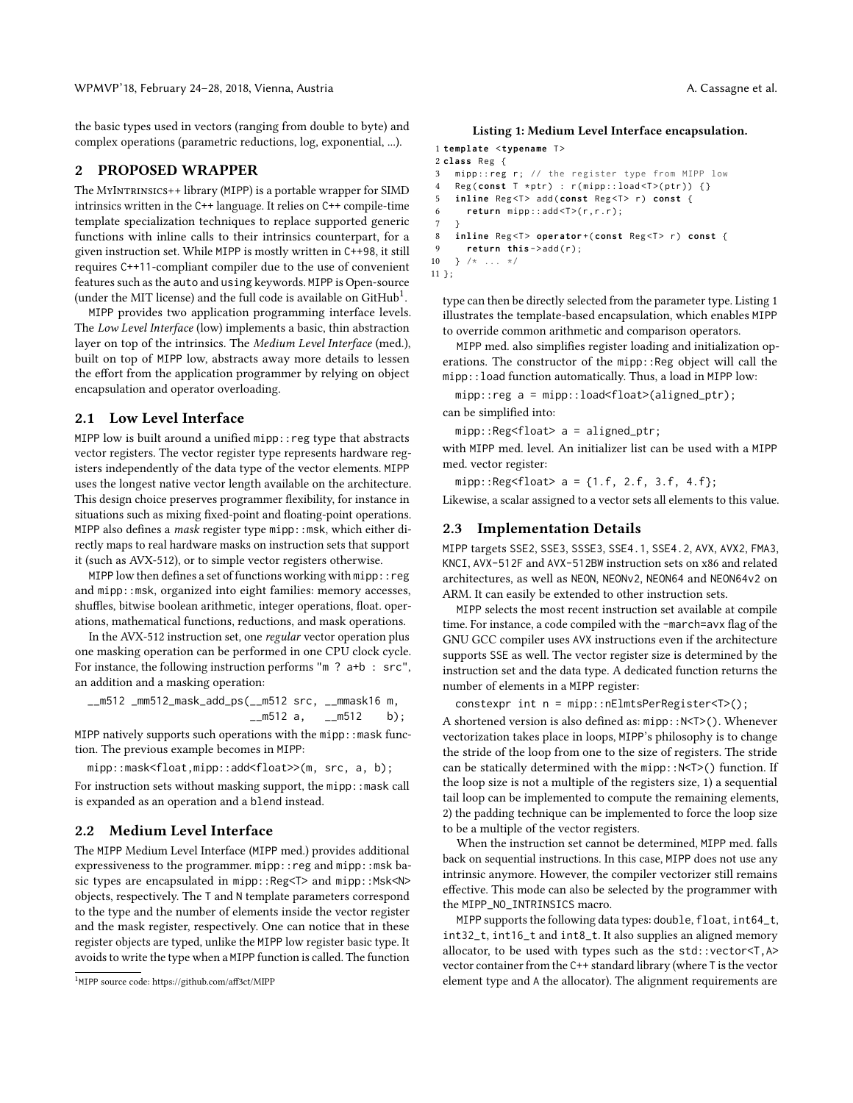the basic types used in vectors (ranging from double to byte) and complex operations (parametric reductions, log, exponential, ...).

## 2 PROPOSED WRAPPER

The MyIntrinsics++ library (MIPP) is a portable wrapper for SIMD intrinsics written in the C++ language. It relies on C++ compile-time template specialization techniques to replace supported generic functions with inline calls to their intrinsics counterpart, for a given instruction set. While MIPP is mostly written in C++98, it still requires C++11-compliant compiler due to the use of convenient features such as the auto and using keywords. MIPP is Open-source (under the MIT license) and the full code is available on  $\text{GitHub}^1$  $\text{GitHub}^1$ .

MIPP provides two application programming interface levels. The Low Level Interface (low) implements a basic, thin abstraction layer on top of the intrinsics. The Medium Level Interface (med.), built on top of MIPP low, abstracts away more details to lessen the effort from the application programmer by relying on object encapsulation and operator overloading.

#### 2.1 Low Level Interface

MIPP low is built around a unified mipp:: reg type that abstracts vector registers. The vector register type represents hardware registers independently of the data type of the vector elements. MIPP uses the longest native vector length available on the architecture. This design choice preserves programmer flexibility, for instance in situations such as mixing fixed-point and floating-point operations. MIPP also defines a mask register type mipp: : msk, which either directly maps to real hardware masks on instruction sets that support it (such as AVX-512), or to simple vector registers otherwise.

MIPP low then defines a set of functions working with mipp::reg and mipp::msk, organized into eight families: memory accesses, shuffles, bitwise boolean arithmetic, integer operations, float. operations, mathematical functions, reductions, and mask operations.

In the AVX-512 instruction set, one regular vector operation plus one masking operation can be performed in one CPU clock cycle. For instance, the following instruction performs "m ? a+b : src", an addition and a masking operation:

\_\_m512 \_mm512\_mask\_add\_ps(\_\_m512 src, \_\_mmask16 m,  $\_m512$  a,  $\_m512$  b);

MIPP natively supports such operations with the mipp:: mask function. The previous example becomes in MIPP:

mipp::mask<float,mipp::add<float>>(m, src, a, b);

For instruction sets without masking support, the mipp::mask call is expanded as an operation and a blend instead.

## 2.2 Medium Level Interface

The MIPP Medium Level Interface (MIPP med.) provides additional expressiveness to the programmer. mipp::reg and mipp::msk basic types are encapsulated in mipp::Reg<T> and mipp::Msk<N> objects, respectively. The T and N template parameters correspond to the type and the number of elements inside the vector register and the mask register, respectively. One can notice that in these register objects are typed, unlike the MIPP low register basic type. It avoids to write the type when a MIPP function is called. The function

#### Listing 1: Medium Level Interface encapsulation.

```
1 template <typename T>
2 class Reg {
3 mipp:: reg r; // the register type from MIPP low
4 Reg ( const T * ptr ) : r ( mipp :: load <T >( ptr )) {}
5 inline Reg<T> add(const Reg<T> r) const {
6 return mipp::add <T > (r, r, r);
\,78 inline Reg<T> operator + ( const Reg<T> r) const {
9 return this ->add(r);
10 } /* ... */
11 };
```
type can then be directly selected from the parameter type. Listing [1](#page-1-1) illustrates the template-based encapsulation, which enables MIPP to override common arithmetic and comparison operators.

MIPP med. also simplifies register loading and initialization operations. The constructor of the mipp::Reg object will call the mipp::load function automatically. Thus, a load in MIPP low:

mipp::reg a = mipp::load<float>(aligned\_ptr); can be simplified into:

mipp::Reg<float> a = aligned\_ptr;

with MIPP med. level. An initializer list can be used with a MIPP med. vector register:

 $mipp::Reg < float > a = \{1.f, 2.f, 3.f, 4.f\};$ 

Likewise, a scalar assigned to a vector sets all elements to this value.

## <span id="page-1-2"></span>2.3 Implementation Details

MIPP targets SSE2, SSE3, SSSE3, SSE4.1, SSE4.2, AVX, AVX2, FMA3, KNCI, AVX-512F and AVX-512BW instruction sets on x86 and related architectures, as well as NEON, NEONv2, NEON64 and NEON64v2 on ARM. It can easily be extended to other instruction sets.

MIPP selects the most recent instruction set available at compile time. For instance, a code compiled with the -march=avx flag of the GNU GCC compiler uses AVX instructions even if the architecture supports SSE as well. The vector register size is determined by the instruction set and the data type. A dedicated function returns the number of elements in a MIPP register:

constexpr int n = mipp::nElmtsPerRegister<T>();

A shortened version is also defined as: mipp::N<T>(). Whenever vectorization takes place in loops, MIPP's philosophy is to change the stride of the loop from one to the size of registers. The stride can be statically determined with the mipp::N<T>() function. If the loop size is not a multiple of the registers size, 1) a sequential tail loop can be implemented to compute the remaining elements, 2) the padding technique can be implemented to force the loop size to be a multiple of the vector registers.

When the instruction set cannot be determined, MIPP med. falls back on sequential instructions. In this case, MIPP does not use any intrinsic anymore. However, the compiler vectorizer still remains effective. This mode can also be selected by the programmer with the MIPP\_NO\_INTRINSICS macro.

MIPP supports the following data types: double, float, int64\_t, int32\_t, int16\_t and int8\_t. It also supplies an aligned memory allocator, to be used with types such as the std::vector<T,A> vector container from the C++ standard library (where T is the vector element type and A the allocator). The alignment requirements are

<span id="page-1-0"></span><sup>1</sup> MIPP source code:<https://github.com/aff3ct/MIPP>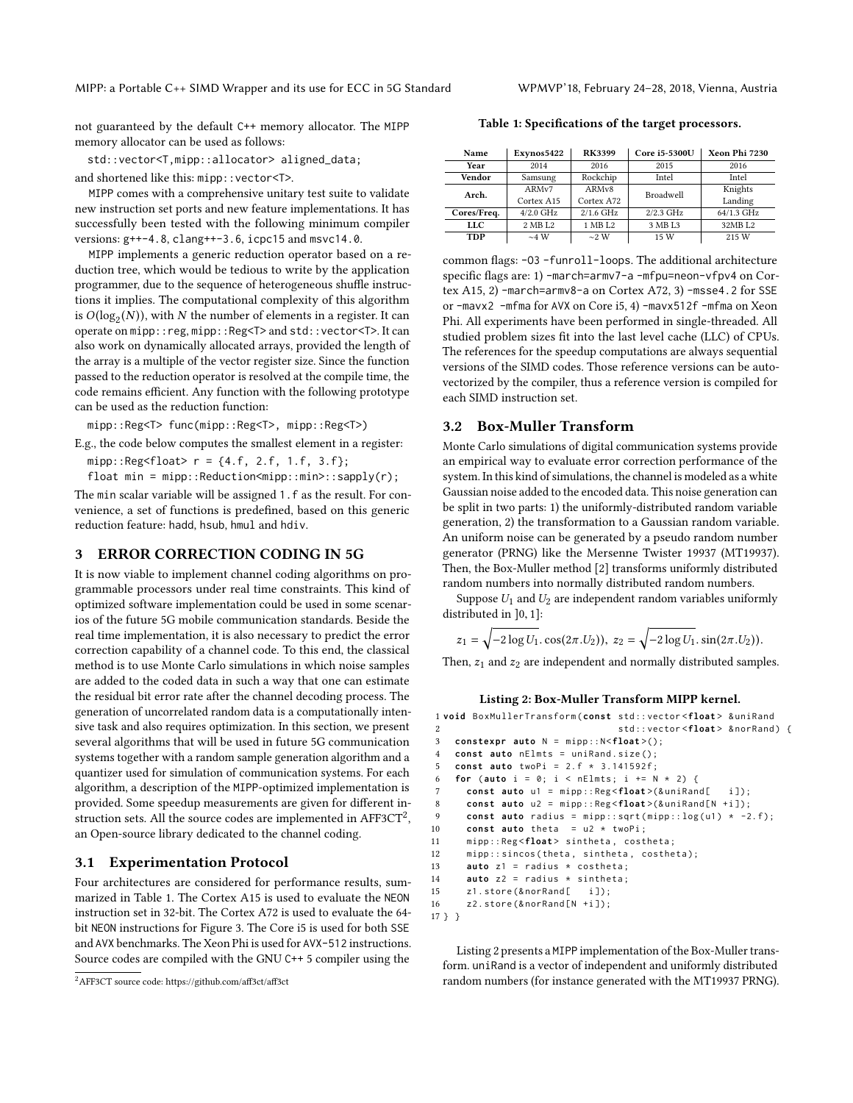not guaranteed by the default C++ memory allocator. The MIPP memory allocator can be used as follows:

std::vector<T,mipp::allocator> aligned\_data;

and shortened like this: mipp::vector<T>.

MIPP comes with a comprehensive unitary test suite to validate new instruction set ports and new feature implementations. It has successfully been tested with the following minimum compiler versions: g++-4.8, clang++-3.6, icpc15 and msvc14.0.

MIPP implements a generic reduction operator based on a reduction tree, which would be tedious to write by the application programmer, due to the sequence of heterogeneous shuffle instructions it implies. The computational complexity of this algorithm is  $O(log_2(N))$ , with N the number of elements in a register. It can<br>operate on minp : : reg. minp : : Peg<T> and std : : yector<T>. It can operate on mipp::reg, mipp::Reg<T> and std::vector<T>. It can also work on dynamically allocated arrays, provided the length of the array is a multiple of the vector register size. Since the function passed to the reduction operator is resolved at the compile time, the code remains efficient. Any function with the following prototype can be used as the reduction function:

mipp::Reg<T> func(mipp::Reg<T>, mipp::Reg<T>)

E.g., the code below computes the smallest element in a register:

 $mipp::Reg < float > r = {4.f, 2.f, 1.f, 3.f};$ 

float min = mipp::Reduction<mipp::min>::sapply(r);

The min scalar variable will be assigned 1.f as the result. For convenience, a set of functions is predefined, based on this generic reduction feature: hadd, hsub, hmul and hdiv.

#### 3 ERROR CORRECTION CODING IN 5G

It is now viable to implement channel coding algorithms on programmable processors under real time constraints. This kind of optimized software implementation could be used in some scenarios of the future 5G mobile communication standards. Beside the real time implementation, it is also necessary to predict the error correction capability of a channel code. To this end, the classical method is to use Monte Carlo simulations in which noise samples are added to the coded data in such a way that one can estimate the residual bit error rate after the channel decoding process. The generation of uncorrelated random data is a computationally intensive task and also requires optimization. In this section, we present several algorithms that will be used in future 5G communication systems together with a random sample generation algorithm and a quantizer used for simulation of communication systems. For each algorithm, a description of the MIPP-optimized implementation is provided. Some speedup measurements are given for different instruction sets. All the source codes are implemented in AFF3CT $^2$  $^2$ , an Open-source library dedicated to the channel coding.

## 3.1 Experimentation Protocol

Four architectures are considered for performance results, summarized in Table [1.](#page-2-1) The Cortex A15 is used to evaluate the NEON instruction set in 32-bit. The Cortex A72 is used to evaluate the 64 bit NEON instructions for Figure [3.](#page-6-0) The Core i5 is used for both SSE and AVX benchmarks. The Xeon Phi is used for AVX-512 instructions. Source codes are compiled with the GNU C++ 5 compiler using the

<span id="page-2-1"></span>Table 1: Specifications of the target processors.

| Name        | Exynos5422        | <b>RK3399</b>      | Core i5-5300U    | Xeon Phi 7230 |  |  |
|-------------|-------------------|--------------------|------------------|---------------|--|--|
| Year        | 2014              | 2016               | 2015             | 2016          |  |  |
| Vendor      | Samsung           | Rockchip           | Intel            | Intel         |  |  |
| Arch.       | ARM <sub>v7</sub> | ARM <sub>v</sub> 8 | <b>Broadwell</b> | Knights       |  |  |
|             | Cortex A15        | Cortex A72         |                  | Landing       |  |  |
| Cores/Freq. | $4/2.0$ GHz       | $2/1.6$ GHz        | $2/2.3$ GHz      | 64/1.3 GHz    |  |  |
| LLC         | 2 MB L2           | 1 MB L2            | 3 MB L3          | 32MB L2       |  |  |
| <b>TDP</b>  | $\sim$ 4 W        | $\sim$ 2 W         | 15 W             | 215 W         |  |  |

common flags: -O3 -funroll-loops. The additional architecture specific flags are: 1) -march=armv7-a -mfpu=neon-vfpv4 on Cortex A15, 2) -march=armv8-a on Cortex A72, 3) -msse4.2 for SSE or -mavx2 -mfma for AVX on Core i5, 4) -mavx512f -mfma on Xeon Phi. All experiments have been performed in single-threaded. All studied problem sizes fit into the last level cache (LLC) of CPUs. The references for the speedup computations are always sequential versions of the SIMD codes. Those reference versions can be autovectorized by the compiler, thus a reference version is compiled for each SIMD instruction set.

## <span id="page-2-3"></span>3.2 Box-Muller Transform

Monte Carlo simulations of digital communication systems provide an empirical way to evaluate error correction performance of the system. In this kind of simulations, the channel is modeled as a white Gaussian noise added to the encoded data. This noise generation can be split in two parts: 1) the uniformly-distributed random variable generation, 2) the transformation to a Gaussian random variable. An uniform noise can be generated by a pseudo random number generator (PRNG) like the Mersenne Twister 19937 (MT19937). Then, the Box-Muller method [\[2\]](#page-7-16) transforms uniformly distributed random numbers into normally distributed random numbers.

Suppose  $U_1$  and  $U_2$  are independent random variables uniformly distributed in ]0, 1]:

$$
z_1 = \sqrt{-2\log U_1 \cdot \cos(2\pi.U_2)}, \ z_2 = \sqrt{-2\log U_1 \cdot \sin(2\pi.U_2)}.
$$

Then,  $z_1$  and  $z_2$  are independent and normally distributed samples.

#### Listing 2: Box-Muller Transform MIPP kernel.

```
1 void BoxMullerTransform ( const std :: vector <float > & uniRand
2 std:: vector <float> & norRand) {
3 constexpr auto N = mipp :: N <float >();
4 const auto nElmts = uniRand . size ();
5 const auto twoPi = 2. f * 3.141592 f ;
6 for (auto i = 0; i < nElmts; i += N * 2) {
7 const auto u1 = mipp:: Reg <float>(& uniRand[ i]);
8 const auto u2 = mipp::Reg<float>(&uniRand[N +i]);
9 const auto radius = m \text{ input} : \text{sqrt}(m \text{ input}) : \text{log}(u1) \times -2. f);10 const auto theta = u2 * twoPi ;
11 mipp :: Reg <float > sintheta , costheta ;
12 mipp :: sincos ( theta , sintheta , costheta );
13 auto z1 = radius * costheta ;
14 auto z2 = radius * sintheta ;
15 z1.store (& norRand [ i ]):
16 z2.store (& norRand [N + i ]);
17 } }
```
Listing [2](#page-2-2) presents a MIPP implementation of the Box-Muller transform. uniRand is a vector of independent and uniformly distributed random numbers (for instance generated with the MT19937 PRNG).

<span id="page-2-0"></span><sup>2</sup>AFF3CT source code:<https://github.com/aff3ct/aff3ct>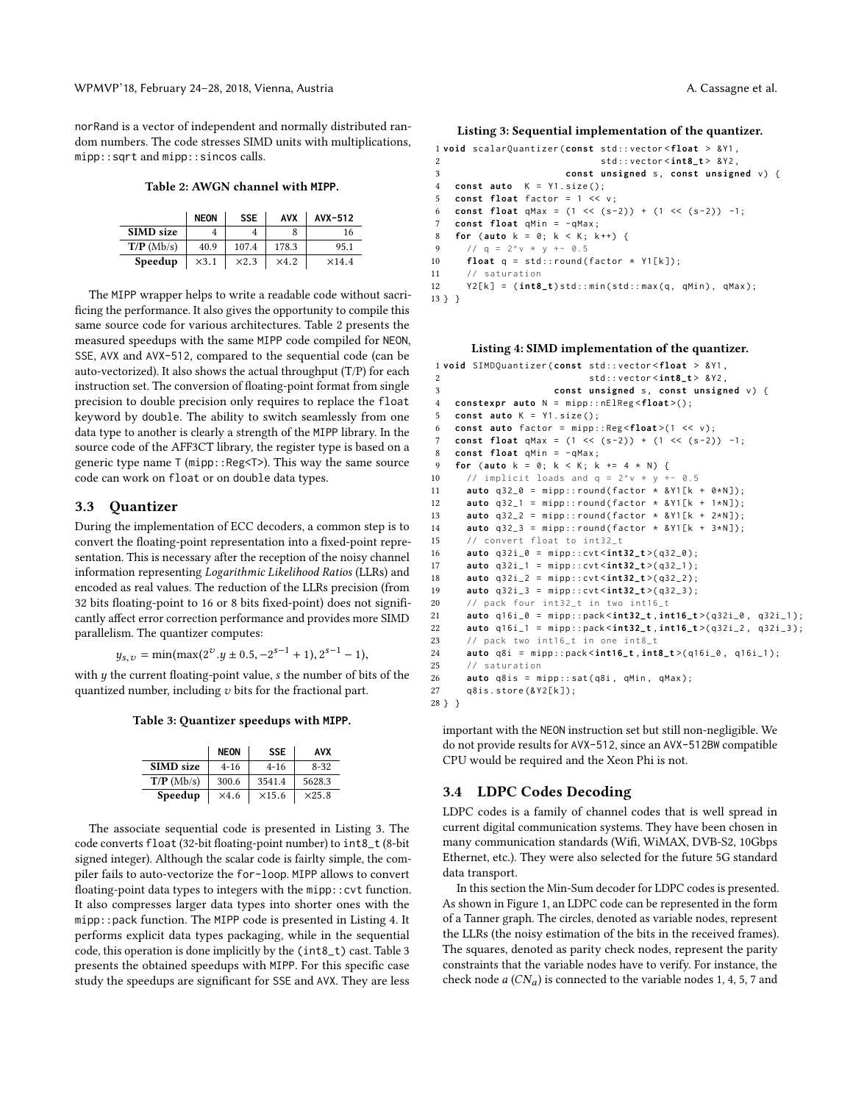<span id="page-3-0"></span>norRand is a vector of independent and normally distributed random numbers. The code stresses SIMD units with multiplications, mipp::sqrt and mipp::sincos calls.

Table 2: AWGN channel with **MIPP**.

|                  | <b>NEON</b>  | <b>SSE</b>   | <b>AVX</b>   | AVX-512       |
|------------------|--------------|--------------|--------------|---------------|
| <b>SIMD</b> size |              |              |              | 16            |
| $T/P$ (Mb/s)     | 40.9         | 107.4        | 178.3        | 95.1          |
| Speedup          | $\times$ 3.1 | $\times 2.3$ | $\times$ 4.2 | $\times$ 14.4 |
|                  |              |              |              |               |

The MIPP wrapper helps to write a readable code without sacrificing the performance. It also gives the opportunity to compile this same source code for various architectures. Table [2](#page-3-0) presents the measured speedups with the same MIPP code compiled for NEON, SSE, AVX and AVX-512, compared to the sequential code (can be auto-vectorized). It also shows the actual throughput (T/P) for each instruction set. The conversion of floating-point format from single precision to double precision only requires to replace the float keyword by double. The ability to switch seamlessly from one data type to another is clearly a strength of the MIPP library. In the source code of the AFF3CT library, the register type is based on a generic type name  $T$  (mipp::Reg $(T)$ ). This way the same source code can work on float or on double data types.

## 3.3 Quantizer

During the implementation of ECC decoders, a common step is to convert the floating-point representation into a fixed-point representation. This is necessary after the reception of the noisy channel information representing Logarithmic Likelihood Ratios (LLRs) and encoded as real values. The reduction of the LLRs precision (from 32 bits floating-point to 16 or 8 bits fixed-point) does not significantly affect error correction performance and provides more SIMD parallelism. The quantizer computes:

 $y_{s,v} = \min(\max(2^v \cdot y \pm 0.5, -2^{s-1} + 1), 2^{s-1} - 1),$ 

<span id="page-3-3"></span>with  $y$  the current floating-point value,  $s$  the number of bits of the quantized number, including  $v$  bits for the fractional part.

Table 3: Quantizer speedups with **MIPP**.

|                  | <b>NEON</b> | <b>SSE</b>    | <b>AVX</b>    |
|------------------|-------------|---------------|---------------|
| <b>SIMD</b> size | $4 - 16$    | $4 - 16$      | $8 - 32$      |
| $T/P$ (Mb/s)     | 300.6       | 3541.4        | 5628.3        |
| Speedup          | $\times4.6$ | $\times$ 15.6 | $\times$ 25.8 |
|                  |             |               |               |

The associate sequential code is presented in Listing [3.](#page-3-1) The code converts float (32-bit floating-point number) to int8\_t (8-bit signed integer). Although the scalar code is fairlty simple, the compiler fails to auto-vectorize the for-loop. MIPP allows to convert floating-point data types to integers with the mipp:: cvt function. It also compresses larger data types into shorter ones with the mipp::pack function. The MIPP code is presented in Listing [4.](#page-3-2) It performs explicit data types packaging, while in the sequential code, this operation is done implicitly by the (int8\_t) cast. Table [3](#page-3-3) presents the obtained speedups with MIPP. For this specific case study the speedups are significant for SSE and AVX. They are less

#### <span id="page-3-1"></span>Listing 3: Sequential implementation of the quantizer.

```
1 void scalarQuantizer ( const std :: vector < float > & Y1 ,
2 std :: vector < int8_t > & Y2 ,
3 const unsigned s, const unsigned v) {
4 const auto K = Y1 . size ();
5 const float factor = 1 << v ;
6 const float qMax = (1 \leq (s-2)) + (1 \leq (s-2)) -1;
7 const float qMin = -qMax;
8 for ( auto k = 0; k < K ; k ++) {
9 // q = 2^x v + v + - 0.510 float q = std::round(factor * Y1[k]);
11 // saturation
12 Y2 [k] = (int8_t)std::min(std::max(q, qMin), qMax);
13 } }
```
#### Listing 4: SIMD implementation of the quantizer.

```
1 void SIMDQuantizer ( const std :: vector < float > & Y1 ,
2 std :: vector < int8_t > & Y2 ,
3 const unsigned s, const unsigned v) {
4 constexpr auto N = mipp :: nElReg <float >();
5 const auto K = Y1 . size ();
6 const auto factor = mipp :: Reg <float >(1 << v );
7 const float qMax = (1 \leq (s-2)) + (1 \leq (s-2)) -1;8 const float aMin = -aMax:
9 for ( auto k = 0; k < K ; k += 4 * N ) {
10 // implicit loads and q = 2^y \times y + -0.511 auto q32_0 = mipp::round(factor * & Y1[k + 0*N]);
12 auto q32_1 = mipp::round(factor * & Y1[k + 1*N]);
13 auto q32_2 = mipp::round (factor * & Y1 [k + 2* N]);
14 auto q32_3 = mipp::round(factor * 8Y1[k + 3*N]);15 // convert float to int32_t
16 auto q32i_0 = mipp :: cvt < int32_t >( q32_0 );
17 auto q32i_1 = mipp :: cvt < int32_t >( q32_1 );
18 auto q32i_{-}2 = mipp::cvt<sup>2</sup>int32_t>(q32_{-}2);19 auto q32i_3 = mipp :: cvt < int32_t >( q32_3 );
20 // pack four int32_t in two int16_t
21 auto q16i_0 = mipp :: pack < int32_t , int16_t >( q32i_0 , q32i_1 );
22 auto q16i_1 = mipp :: pack < int32_t , int16_t >( q32i_2 , q32i_3 );
23 // pack two int16_t in one int8_t
24 auto q8i = mipp :: pack < int16_t , int8_t >( q16i_0 , q16i_1 );
25 // saturation
26 auto q8is = mipp::sat(q8i, qMin, qMax);
27 q8is . store (& Y2 [ k ]);
28 } }
```
important with the NEON instruction set but still non-negligible. We do not provide results for AVX-512, since an AVX-512BW compatible CPU would be required and the Xeon Phi is not.

## 3.4 LDPC Codes Decoding

LDPC codes is a family of channel codes that is well spread in current digital communication systems. They have been chosen in many communication standards (Wifi, WiMAX, DVB-S2, 10Gbps Ethernet, etc.). They were also selected for the future 5G standard data transport.

In this section the Min-Sum decoder for LDPC codes is presented. As shown in Figure [1,](#page-4-0) an LDPC code can be represented in the form of a Tanner graph. The circles, denoted as variable nodes, represent the LLRs (the noisy estimation of the bits in the received frames). The squares, denoted as parity check nodes, represent the parity constraints that the variable nodes have to verify. For instance, the check node  $a$  (CN<sub>a</sub>) is connected to the variable nodes 1, 4, 5, 7 and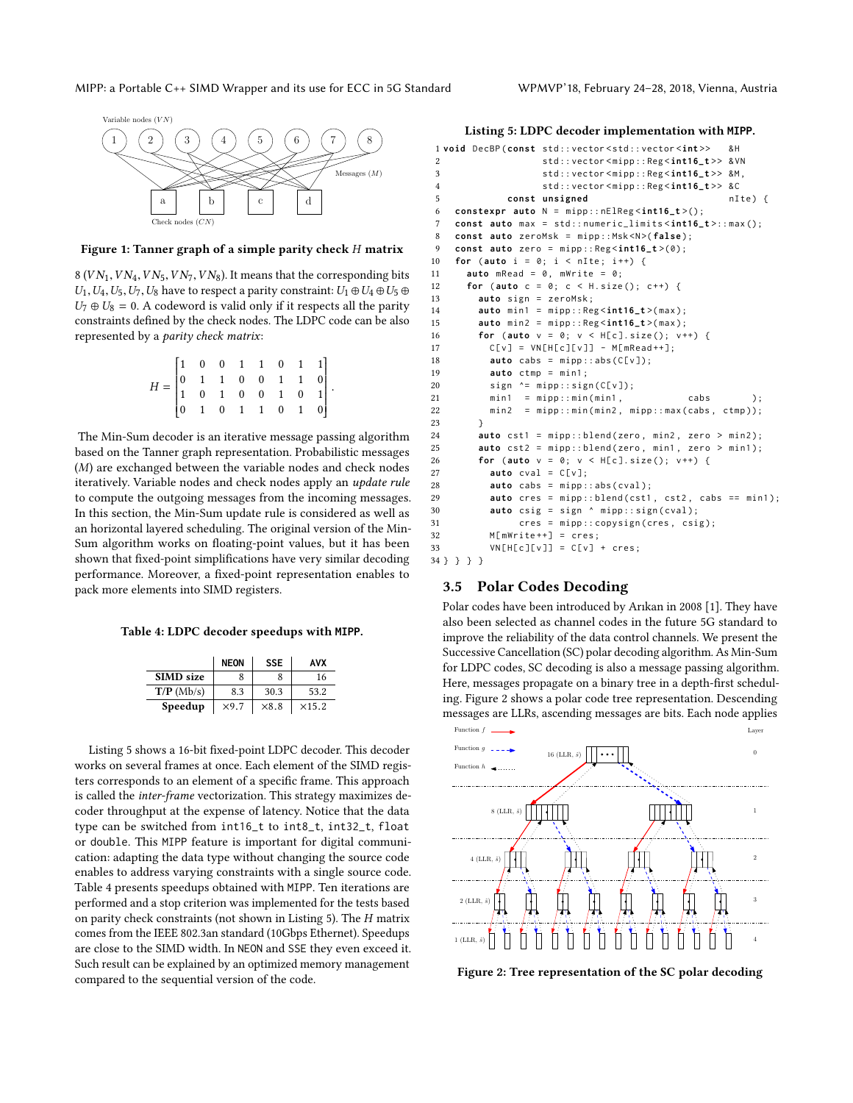<span id="page-4-0"></span>

#### Figure 1: Tanner graph of a simple parity check H matrix

8 ( $VN_1, VN_4, VN_5, VN_7, VN_8$ ). It means that the corresponding bits  $U_1, U_4, U_5, U_7, U_8$  have to respect a parity constraint:  $U_1 \oplus U_4 \oplus U_5 \oplus$  $U_7 \oplus U_8 = 0$ . A codeword is valid only if it respects all the parity constraints defined by the check nodes. The LDPC code can be also represented by a parity check matrix:

| $H = \begin{bmatrix} 1 & 0 & 0 & 1 & 1 & 0 & 1 & 1\\ 0 & 1 & 1 & 0 & 0 & 1 & 1 & 0\\ 1 & 0 & 1 & 0 & 0 & 1 & 0 & 1\\ 0 & 1 & 0 & 1 & 1 & 0 & 1 & 0 \end{bmatrix}.$ |  |  |  |  |  |
|--------------------------------------------------------------------------------------------------------------------------------------------------------------------|--|--|--|--|--|
|                                                                                                                                                                    |  |  |  |  |  |
|                                                                                                                                                                    |  |  |  |  |  |
|                                                                                                                                                                    |  |  |  |  |  |

The Min-Sum decoder is an iterative message passing algorithm based on the Tanner graph representation. Probabilistic messages (M) are exchanged between the variable nodes and check nodes iteratively. Variable nodes and check nodes apply an update rule to compute the outgoing messages from the incoming messages. In this section, the Min-Sum update rule is considered as well as an horizontal layered scheduling. The original version of the Min-Sum algorithm works on floating-point values, but it has been shown that fixed-point simplifications have very similar decoding performance. Moreover, a fixed-point representation enables to pack more elements into SIMD registers.

<span id="page-4-2"></span>Table 4: LDPC decoder speedups with **MIPP**.

|                  | <b>NEON</b>  | <b>SSE</b>   | AVX           |
|------------------|--------------|--------------|---------------|
| <b>SIMD</b> size | 8            |              | 16            |
| $T/P$ (Mb/s)     | 8.3          | 30.3         | 53.2          |
| Speedup          | $\times$ 9.7 | $\times 8.8$ | $\times$ 15.2 |

Listing [5](#page-4-1) shows a 16-bit fixed-point LDPC decoder. This decoder works on several frames at once. Each element of the SIMD registers corresponds to an element of a specific frame. This approach is called the inter-frame vectorization. This strategy maximizes decoder throughput at the expense of latency. Notice that the data type can be switched from int16\_t to int8\_t, int32\_t, float or double. This MIPP feature is important for digital communication: adapting the data type without changing the source code enables to address varying constraints with a single source code. Table [4](#page-4-2) presents speedups obtained with MIPP. Ten iterations are performed and a stop criterion was implemented for the tests based on parity check constraints (not shown in Listing [5\)](#page-4-1). The H matrix comes from the IEEE 802.3an standard (10Gbps Ethernet). Speedups are close to the SIMD width. In NEON and SSE they even exceed it. Such result can be explained by an optimized memory management compared to the sequential version of the code.

<span id="page-4-1"></span>Listing 5: LDPC decoder implementation with **MIPP**.

```
1 void DecBP ( const std :: vector < std :: vector <int > > & H
2 std :: vector < mipp :: Reg < int16_t > > & VN
3 std :: vector < mipp :: Reg < int16_t > > &M ,
4 std :: vector < mipp :: Reg < int16_t > > & C
5 const unsigned nIte) {
6 constexpr auto N = mipp :: nElReg < int16_t >();
7 const auto max = std :: numeric_limits < int16_t >:: max ();
8 const auto zeroMsk = mipp:: Msk<N>(false);
9 const auto zero = mipp :: Reg < int16_t >(0);
10 for ( auto i = 0; i < nIte ; i ++) {
11 auto mRead = 0 , mWrite = 0;
12 for ( auto c = 0; c < H . size (); c ++) {
13 auto sign = zeroMsk ;
14 auto min1 = mipp :: Reg < int16_t >( max );
15 auto min2 = mipp :: Reg < int16_t >( max );
16 for (auto v = 0; v < H[c]. size(); v^{++}) {
17 C[V] = VN[H[C][V]] - M[mRead++];18 auto cabs = mipp::abs(C[v]);
19 auto ctmp = min1 ;
20 sign \uparrow = mipp::sign(C[v]);<br>
21 min1 = mipp::min(min1,min1 = min2 : min(min1, \ldots)22 min2 = mipp::min(min2, mipp::max(cabs, ctmp));
23 }
24 auto cst1 = mipp::blend(zero, min2, zero > min2);
25 auto cst2 = mipp::blend(zero, min1, zero > min1);
26 for ( auto v = 0; v < H [ c ]. size (); v ++) {
27 auto cval = C [ v ];
28 auto cabs = mipp:: abs ( cval );
29 auto cres = mipp::blend(cst1, cst2, cabs == min1);
30 auto csig = sign ^ mipp :: sign ( cval );
31 cres = mipp::copysign(cres, csig);
32 M[mWrite ++] = cres;
33 VN[H[c][v]] = C[v] + cres;
34 } } } }
```
## <span id="page-4-4"></span>3.5 Polar Codes Decoding

Polar codes have been introduced by Arıkan in 2008 [\[1\]](#page-7-17). They have also been selected as channel codes in the future 5G standard to improve the reliability of the data control channels. We present the Successive Cancellation (SC) polar decoding algorithm. As Min-Sum for LDPC codes, SC decoding is also a message passing algorithm. Here, messages propagate on a binary tree in a depth-first scheduling. Figure [2](#page-4-3) shows a polar code tree representation. Descending messages are LLRs, ascending messages are bits. Each node applies

<span id="page-4-3"></span>

Figure 2: Tree representation of the SC polar decoding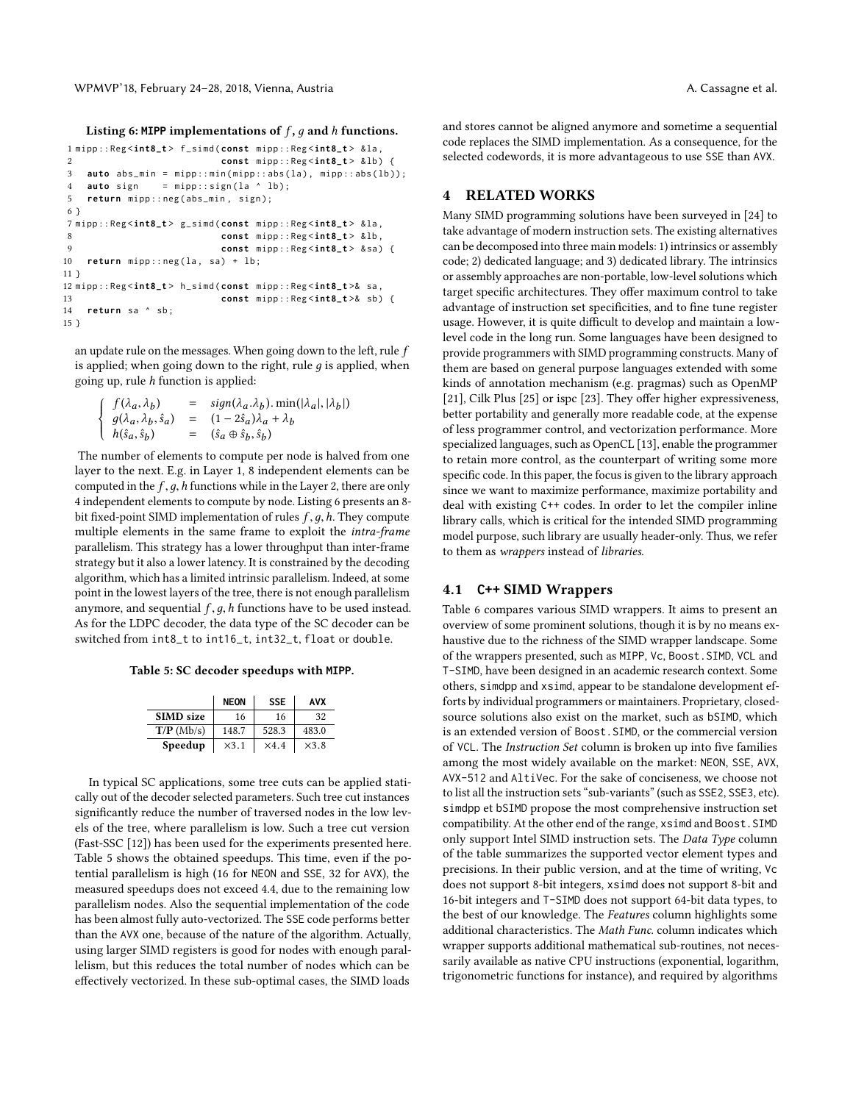<span id="page-5-0"></span>Listing 6: MIPP implementations of  $f$ ,  $q$  and  $h$  functions.

```
1 mipp :: Reg < int8_t > f_simd ( const mipp :: Reg < int8_t > & la ,
2 const mipp :: Reg < int8_t > & lb ) {
3 auto abs_min = mipp::min(mipp::abs(la), mipp::abs(lb));
4 auto sign = mipp::sign(la ^ lb);
5 return mipp::neg(abs_min, sign);
6 }
7 mipp :: Reg < int8_t > g_simd ( const mipp :: Reg < int8_t > & la ,
8 const mipp:: Reg<int8 t> & lb,
9 const mipp :: Reg < int8_t > & sa ) {
10 return mipp::neg(la, sa) + lb;
11 }
12 mipp :: Reg < int8_t > h_simd ( const mipp :: Reg < int8_t >& sa ,
13 const mipp :: Reg < int8_t >& sb ) {
14 return sa ^ sb ;
15 }
```
an update rule on the messages. When going down to the left, rule  $\bar{f}$ is applied; when going down to the right, rule  $q$  is applied, when going up, rule h function is applied:

$$
\begin{cases}\nf(\lambda_a, \lambda_b) &= \text{sign}(\lambda_a \lambda_b) . \min(|\lambda_a|, |\lambda_b|) \\
g(\lambda_a, \lambda_b, \hat{s}_a) &= (1 - 2\hat{s}_a)\lambda_a + \lambda_b \\
h(\hat{s}_a, \hat{s}_b) &= (\hat{s}_a \oplus \hat{s}_b, \hat{s}_b)\n\end{cases}
$$

The number of elements to compute per node is halved from one layer to the next. E.g. in Layer 1, 8 independent elements can be computed in the  $f, g, h$  functions while in the Layer 2, there are only 4 independent elements to compute by node. Listing [6](#page-5-0) presents an 8 bit fixed-point SIMD implementation of rules  $f, q, h$ . They compute multiple elements in the same frame to exploit the intra-frame parallelism. This strategy has a lower throughput than inter-frame strategy but it also a lower latency. It is constrained by the decoding algorithm, which has a limited intrinsic parallelism. Indeed, at some point in the lowest layers of the tree, there is not enough parallelism anymore, and sequential  $f, g, h$  functions have to be used instead. As for the LDPC decoder, the data type of the SC decoder can be switched from int8\_t to int16\_t, int32\_t, float or double.

<span id="page-5-1"></span>Table 5: SC decoder speedups with **MIPP**.

|                  | <b>NEON</b>  | <b>SSE</b>  | <b>AVX</b>   |
|------------------|--------------|-------------|--------------|
| <b>SIMD</b> size | 16           | 16          | 32           |
| $T/P$ (Mb/s)     | 148.7        | 528.3       | 483.0        |
| Speedup          | $\times$ 3.1 | $\times4.4$ | $\times$ 3.8 |
|                  |              |             |              |

In typical SC applications, some tree cuts can be applied statically out of the decoder selected parameters. Such tree cut instances significantly reduce the number of traversed nodes in the low levels of the tree, where parallelism is low. Such a tree cut version (Fast-SSC [\[12\]](#page-7-18)) has been used for the experiments presented here. Table [5](#page-5-1) shows the obtained speedups. This time, even if the potential parallelism is high (16 for NEON and SSE, 32 for AVX), the measured speedups does not exceed 4.4, due to the remaining low parallelism nodes. Also the sequential implementation of the code has been almost fully auto-vectorized. The SSE code performs better than the AVX one, because of the nature of the algorithm. Actually, using larger SIMD registers is good for nodes with enough parallelism, but this reduces the total number of nodes which can be effectively vectorized. In these sub-optimal cases, the SIMD loads

and stores cannot be aligned anymore and sometime a sequential code replaces the SIMD implementation. As a consequence, for the selected codewords, it is more advantageous to use SSE than AVX.

# 4 RELATED WORKS

Many SIMD programming solutions have been surveyed in [\[24\]](#page-7-19) to take advantage of modern instruction sets. The existing alternatives can be decomposed into three main models: 1) intrinsics or assembly code; 2) dedicated language; and 3) dedicated library. The intrinsics or assembly approaches are non-portable, low-level solutions which target specific architectures. They offer maximum control to take advantage of instruction set specificities, and to fine tune register usage. However, it is quite difficult to develop and maintain a lowlevel code in the long run. Some languages have been designed to provide programmers with SIMD programming constructs. Many of them are based on general purpose languages extended with some kinds of annotation mechanism (e.g. pragmas) such as OpenMP [\[21\]](#page-7-20), Cilk Plus [\[25\]](#page-7-21) or ispc [\[23\]](#page-7-22). They offer higher expressiveness, better portability and generally more readable code, at the expense of less programmer control, and vectorization performance. More specialized languages, such as OpenCL [\[13\]](#page-7-23), enable the programmer to retain more control, as the counterpart of writing some more specific code. In this paper, the focus is given to the library approach since we want to maximize performance, maximize portability and deal with existing C++ codes. In order to let the compiler inline library calls, which is critical for the intended SIMD programming model purpose, such library are usually header-only. Thus, we refer to them as wrappers instead of libraries.

## 4.1 **C++** SIMD Wrappers

Table [6](#page-6-1) compares various SIMD wrappers. It aims to present an overview of some prominent solutions, though it is by no means exhaustive due to the richness of the SIMD wrapper landscape. Some of the wrappers presented, such as MIPP, Vc, Boost.SIMD, VCL and T-SIMD, have been designed in an academic research context. Some others, simdpp and xsimd, appear to be standalone development efforts by individual programmers or maintainers. Proprietary, closedsource solutions also exist on the market, such as bSIMD, which is an extended version of Boost.SIMD, or the commercial version of VCL. The Instruction Set column is broken up into five families among the most widely available on the market: NEON, SSE, AVX, AVX-512 and AltiVec. For the sake of conciseness, we choose not to list all the instruction sets "sub-variants" (such as SSE2, SSE3, etc). simdpp et bSIMD propose the most comprehensive instruction set compatibility. At the other end of the range, xsimd and Boost.SIMD only support Intel SIMD instruction sets. The Data Type column of the table summarizes the supported vector element types and precisions. In their public version, and at the time of writing, Vc does not support 8-bit integers, xsimd does not support 8-bit and 16-bit integers and T-SIMD does not support 64-bit data types, to the best of our knowledge. The Features column highlights some additional characteristics. The Math Func. column indicates which wrapper supports additional mathematical sub-routines, not necessarily available as native CPU instructions (exponential, logarithm, trigonometric functions for instance), and required by algorithms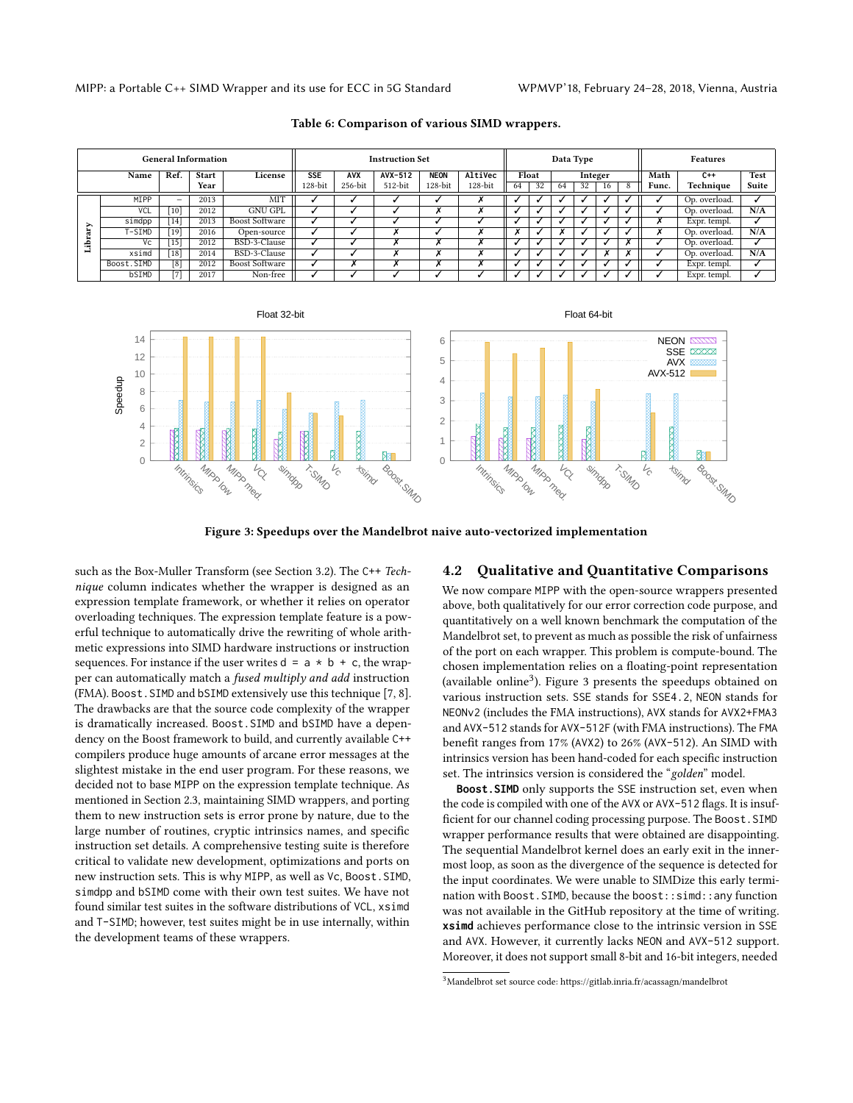<span id="page-6-1"></span>

| <b>General Information</b> |             |                 |              | <b>Instruction Set</b> |            |                      |                      | Data Type   |                      |    |       |         | <b>Features</b> |      |       |       |               |       |
|----------------------------|-------------|-----------------|--------------|------------------------|------------|----------------------|----------------------|-------------|----------------------|----|-------|---------|-----------------|------|-------|-------|---------------|-------|
| Name                       |             | Ref.            | <b>Start</b> | License                | <b>SSE</b> | <b>AVX</b>           | $AVX-512$            | <b>NEON</b> | AltiVec              |    | Float | Integer |                 | Math | $C++$ | Test  |               |       |
|                            |             |                 | Year         |                        | $128$ -bit | 256-bit              | 512-bit              | $128$ -bit  | $128$ -bit           | 64 | 32    | 64      | 32              | 16   | 8     | Func. | Technique     | Suite |
|                            | <b>MTPP</b> | $-$             | 2013         | MIT                    |            |                      |                      |             |                      |    |       |         |                 |      |       |       | Op. overload. |       |
|                            | VCL         | [10]            | 2012         | <b>GNU GPL</b>         |            |                      |                      |             | $\ddot{\phantom{0}}$ |    |       |         |                 |      |       |       | Op. overload. | N/A   |
|                            | simdpp      | [14]            | 2013         | <b>Boost Software</b>  |            |                      |                      |             |                      |    |       |         |                 |      |       | A     | Expr. templ.  |       |
|                            | T-SIMD      | $[19]$          | 2016         | Open-source            |            |                      |                      |             |                      |    |       |         |                 |      |       | ^     | Op. overload. | N/A   |
| ≘                          | Vc          | $\overline{15}$ | 2012         | BSD-3-Clause           |            |                      |                      |             |                      |    |       |         |                 |      |       |       | Op. overload. |       |
| н                          | xsimd       | [18]            | 2014         | BSD-3-Clause           |            |                      |                      |             |                      |    |       |         |                 |      |       |       | Op. overload. | N/A   |
|                            | Boost.SIMD  | [8]             | 2012         | <b>Boost Software</b>  |            | $\ddot{\phantom{0}}$ | $\ddot{\phantom{0}}$ |             | $\ddot{\phantom{0}}$ |    |       |         |                 |      |       |       | Expr. templ.  |       |
|                            | bSIMD       | [7]             | 2017         | Non-free               |            |                      |                      |             |                      |    |       |         |                 |      |       |       | Expr. templ.  |       |

Table 6: Comparison of various SIMD wrappers.

<span id="page-6-0"></span>

Figure 3: Speedups over the Mandelbrot naive auto-vectorized implementation

such as the Box-Muller Transform (see Section [3.2\)](#page-2-3). The C++ Technique column indicates whether the wrapper is designed as an expression template framework, or whether it relies on operator overloading techniques. The expression template feature is a powerful technique to automatically drive the rewriting of whole arithmetic expressions into SIMD hardware instructions or instruction sequences. For instance if the user writes  $d = a * b + c$ , the wrapper can automatically match a fused multiply and add instruction (FMA). Boost.SIMD and bSIMD extensively use this technique [\[7,](#page-7-30) [8\]](#page-7-29). The drawbacks are that the source code complexity of the wrapper is dramatically increased. Boost.SIMD and bSIMD have a dependency on the Boost framework to build, and currently available C++ compilers produce huge amounts of arcane error messages at the slightest mistake in the end user program. For these reasons, we decided not to base MIPP on the expression template technique. As mentioned in Section [2.3,](#page-1-2) maintaining SIMD wrappers, and porting them to new instruction sets is error prone by nature, due to the large number of routines, cryptic intrinsics names, and specific instruction set details. A comprehensive testing suite is therefore critical to validate new development, optimizations and ports on new instruction sets. This is why MIPP, as well as Vc, Boost.SIMD, simdpp and bSIMD come with their own test suites. We have not found similar test suites in the software distributions of VCL, xsimd and T-SIMD; however, test suites might be in use internally, within the development teams of these wrappers.

## 4.2 Qualitative and Quantitative Comparisons

We now compare MIPP with the open-source wrappers presented above, both qualitatively for our error correction code purpose, and quantitatively on a well known benchmark the computation of the Mandelbrot set, to prevent as much as possible the risk of unfairness of the port on each wrapper. This problem is compute-bound. The chosen implementation relies on a floating-point representation (available online<sup>[3](#page-6-2)</sup>). Figure [3](#page-6-0) presents the speedups obtained on various instruction sets. SSE stands for SSE4.2, NEON stands for NEONv2 (includes the FMA instructions), AVX stands for AVX2+FMA3 and AVX-512 stands for AVX-512F (with FMA instructions). The FMA benefit ranges from 17% (AVX2) to 26% (AVX-512). An SIMD with intrinsics version has been hand-coded for each specific instruction set. The intrinsics version is considered the "golden" model.

**Boost.SIMD** only supports the SSE instruction set, even when the code is compiled with one of the AVX or AVX-512 flags. It is insufficient for our channel coding processing purpose. The Boost. SIMD wrapper performance results that were obtained are disappointing. The sequential Mandelbrot kernel does an early exit in the innermost loop, as soon as the divergence of the sequence is detected for the input coordinates. We were unable to SIMDize this early termination with Boost.SIMD, because the boost::simd::any function was not available in the GitHub repository at the time of writing. **xsimd** achieves performance close to the intrinsic version in SSE and AVX. However, it currently lacks NEON and AVX-512 support. Moreover, it does not support small 8-bit and 16-bit integers, needed

<span id="page-6-2"></span> ${}^{3}$ Mandelbrot set source code:<https://gitlab.inria.fr/acassagn/mandelbrot>